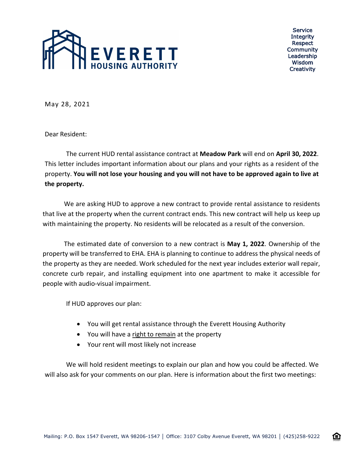

Service **Integrity** Respect Community Leadership Wisdom **Creativity** 

企

May 28, 2021

Dear Resident:

The current HUD rental assistance contract at **Meadow Park** will end on **April 30, 2022**. This letter includes important information about our plans and your rights as a resident of the property. **You will not lose your housing and you will not have to be approved again to live at the property.**

We are asking HUD to approve a new contract to provide rental assistance to residents that live at the property when the current contract ends. This new contract will help us keep up with maintaining the property. No residents will be relocated as a result of the conversion.

The estimated date of conversion to a new contract is **May 1, 2022**. Ownership of the property will be transferred to EHA. EHA is planning to continue to address the physical needs of the property as they are needed. Work scheduled for the next year includes exterior wall repair, concrete curb repair, and installing equipment into one apartment to make it accessible for people with audio-visual impairment.

If HUD approves our plan:

- You will get rental assistance through the Everett Housing Authority
- You will have a right to remain at the property
- Your rent will most likely not increase

We will hold resident meetings to explain our plan and how you could be affected. We will also ask for your comments on our plan. Here is information about the first two meetings: